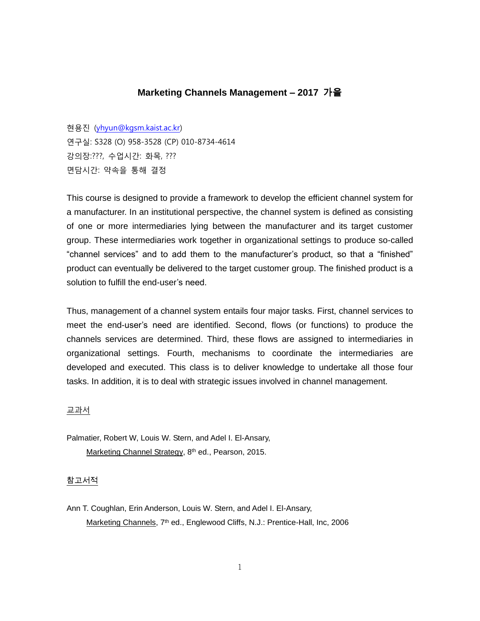# **Marketing Channels Management – 2017** 가을

현용진 [\(yhyun@kgsm.kaist.ac.kr\)](mailto:yhyun@kgsm.kaist.ac.kr) 연구실: S328 (O) 958-3528 (CP) 010-8734-4614 강의장:???, 수업시간: 화목, ??? 면담시간: 약속을 통해 결정

This course is designed to provide a framework to develop the efficient channel system for a manufacturer. In an institutional perspective, the channel system is defined as consisting of one or more intermediaries lying between the manufacturer and its target customer group. These intermediaries work together in organizational settings to produce so-called "channel services" and to add them to the manufacturer's product, so that a "finished" product can eventually be delivered to the target customer group. The finished product is a solution to fulfill the end-user's need.

Thus, management of a channel system entails four major tasks. First, channel services to meet the end-user's need are identified. Second, flows (or functions) to produce the channels services are determined. Third, these flows are assigned to intermediaries in organizational settings. Fourth, mechanisms to coordinate the intermediaries are developed and executed. This class is to deliver knowledge to undertake all those four tasks. In addition, it is to deal with strategic issues involved in channel management.

교과서

Palmatier, Robert W, Louis W. Stern, and Adel I. El-Ansary, Marketing Channel Strategy, 8<sup>th</sup> ed., Pearson, 2015.

### 참고서적

Ann T. Coughlan, Erin Anderson, Louis W. Stern, and Adel I. El-Ansary, Marketing Channels, 7<sup>th</sup> ed., Englewood Cliffs, N.J.: Prentice-Hall, Inc, 2006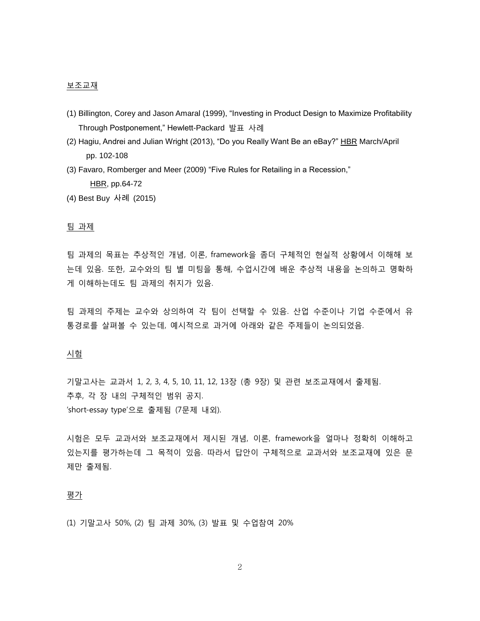#### 보조교재

- (1) Billington, Corey and Jason Amaral (1999), "Investing in Product Design to Maximize Profitability Through Postponement," Hewlett-Packard 발표 사례
- (2) Hagiu, Andrei and Julian Wright (2013), "Do you Really Want Be an eBay?" HBR March/April pp. 102-108
- (3) Favaro, Romberger and Meer (2009) "Five Rules for Retailing in a Recession," HBR, pp.64-72
- (4) Best Buy 사례 (2015)

## 팀 과제

팀 과제의 목표는 추상적인 개념, 이론, framework을 좀더 구체적인 현실적 상황에서 이해해 보 는데 있음. 또한, 교수와의 팀 별 미팅을 통해, 수업시간에 배운 추상적 내용을 논의하고 명확하 게 이해하는데도 팀 과제의 취지가 있음.

팀 과제의 주제는 교수와 상의하여 각 팀이 선택할 수 있음. 산업 수준이나 기업 수준에서 유 통경로를 살펴볼 수 있는데, 예시적으로 과거에 아래와 같은 주제들이 논의되었음.

### 시험

기말고사는 교과서 1, 2, 3, 4, 5, 10, 11, 12, 13장 (총 9장) 및 관련 보조교재에서 출제됨. 추후, 각 장 내의 구체적인 범위 공지. 'short-essay type'으로 출제됨 (7문제 내외).

시험은 모두 교과서와 보조교재에서 제시된 개념, 이론, framework을 얼마나 정확히 이해하고 있는지를 평가하는데 그 목적이 있음. 따라서 답안이 구체적으로 교과서와 보조교재에 있은 문 제만 출제됨.

#### <u>평가</u>

(1) 기말고사 50%, (2) 팀 과제 30%, (3) 발표 및 수업참여 20%